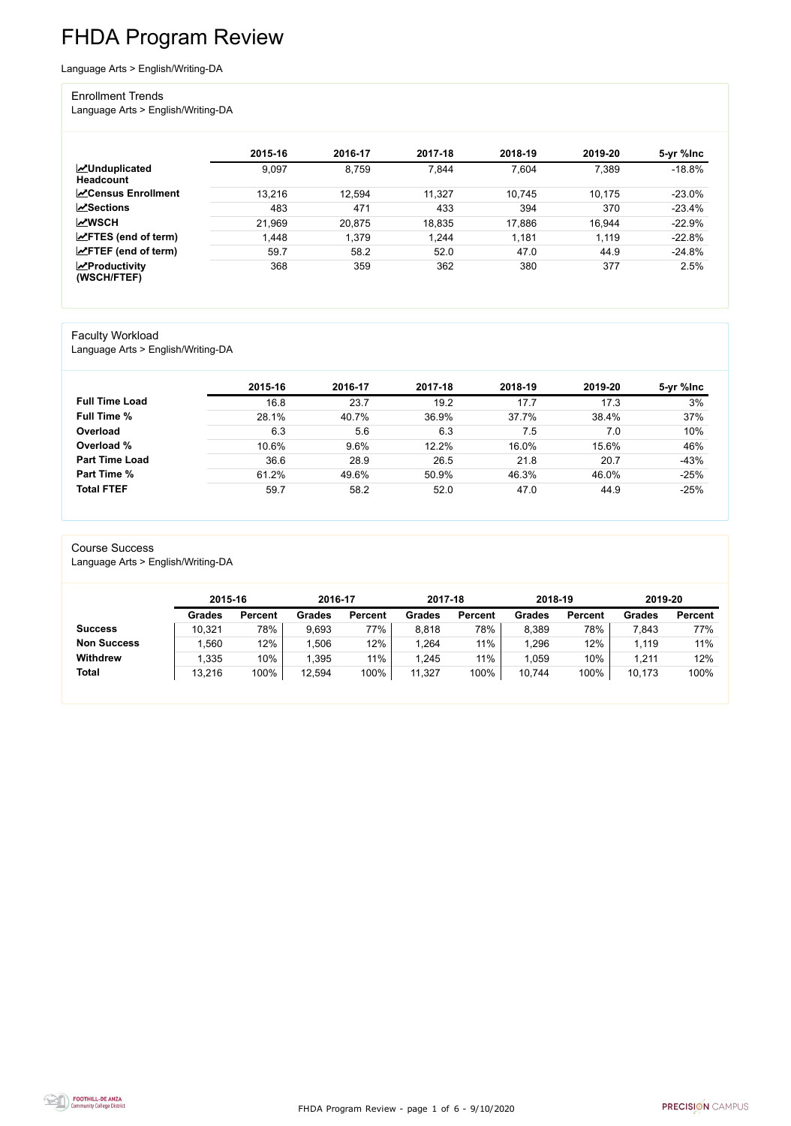FHDA Program Review - page 1 of 6 - 9/10/2020



# FHDA Program Review

Language Arts > English/Writing-DA

#### Enrollment Trends

Language Arts > English/Writing-DA

|                                          | 2015-16 | 2016-17 | 2017-18 | 2018-19 | 2019-20 | 5-yr %lnc |
|------------------------------------------|---------|---------|---------|---------|---------|-----------|
| <b>MUnduplicated</b><br><b>Headcount</b> | 9,097   | 8,759   | 7,844   | 7,604   | 7,389   | $-18.8%$  |
| <b>∠</b> Census Enrollment               | 13,216  | 12,594  | 11,327  | 10,745  | 10,175  | $-23.0\%$ |
| $\sqrt{S}$ ections                       | 483     | 471     | 433     | 394     | 370     | $-23.4%$  |
| <b>MWSCH</b>                             | 21,969  | 20,875  | 18,835  | 17,886  | 16,944  | $-22.9%$  |
| $\angle$ FTES (end of term)              | .448    | 1,379   | 1,244   | 1,181   | 1,119   | $-22.8%$  |
| $\angle$ FTEF (end of term)              | 59.7    | 58.2    | 52.0    | 47.0    | 44.9    | $-24.8%$  |
| $\mathbf{Z}$ Productivity<br>(WSCH/FTEF) | 368     | 359     | 362     | 380     | 377     | 2.5%      |

#### Faculty Workload

Language Arts > English/Writing-DA

|                       | 2015-16 | 2016-17 | 2017-18 | 2018-19 | 2019-20 | 5-yr %lnc |
|-----------------------|---------|---------|---------|---------|---------|-----------|
| <b>Full Time Load</b> | 16.8    | 23.7    | 19.2    | 17.7    | 17.3    | 3%        |
| <b>Full Time %</b>    | 28.1%   | 40.7%   | 36.9%   | 37.7%   | 38.4%   | 37%       |
| Overload              | 6.3     | 5.6     | 6.3     | 7.5     | 7.0     | 10%       |
| Overload %            | 10.6%   | 9.6%    | 12.2%   | 16.0%   | 15.6%   | 46%       |
| <b>Part Time Load</b> | 36.6    | 28.9    | 26.5    | 21.8    | 20.7    | $-43%$    |
| <b>Part Time %</b>    | 61.2%   | 49.6%   | 50.9%   | 46.3%   | 46.0%   | $-25%$    |
| <b>Total FTEF</b>     | 59.7    | 58.2    | 52.0    | 47.0    | 44.9    | $-25%$    |

#### Course Success

Language Arts > English/Writing-DA

|                    |               | 2015-16        |               | 2016-17        | 2017-18       |                | 2018-19       |                | 2019-20       |                |
|--------------------|---------------|----------------|---------------|----------------|---------------|----------------|---------------|----------------|---------------|----------------|
|                    | <b>Grades</b> | <b>Percent</b> | <b>Grades</b> | <b>Percent</b> | <b>Grades</b> | <b>Percent</b> | <b>Grades</b> | <b>Percent</b> | <b>Grades</b> | <b>Percent</b> |
| <b>Success</b>     | 10,321        | 78%            | 9,693         | 77%            | 8,818         | 78%            | 8,389         | 78%            | 7,843         | 77%            |
| <b>Non Success</b> | ,560          | 12%            | ,506          | 12%            | 1,264         | 11%            | ,296          | 12%            | 1,119         | 11%            |
| <b>Withdrew</b>    | 1,335         | 10%            | ,395          | 11%            | 1,245         | 11%            | 1,059         | 10%            | 1,211         | 12%            |
| <b>Total</b>       | 13,216        | 100%           | 12,594        | 100%           | 11,327        | 100%           | 10,744        | 100%           | 10,173        | 100%           |

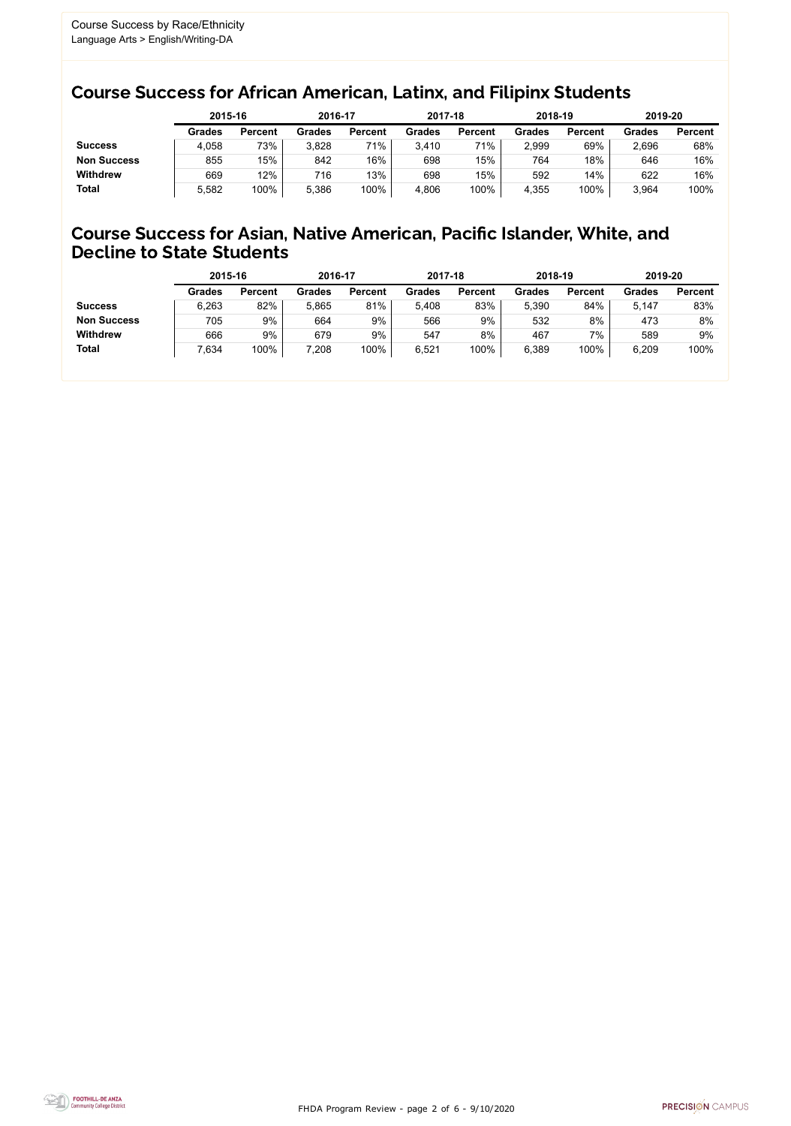FHDA Program Review - page 2 of 6 - 9/10/2020



### Course Success for African American, Latinx, and Filipinx Students

### Course Success for Asian, Native American, Pacific Islander, White, and Decline to State Students

|                    |               | 2015-16        |               | 2016-17        |               | 2017-18        | 2018-19       |                | 2019-20       |                |
|--------------------|---------------|----------------|---------------|----------------|---------------|----------------|---------------|----------------|---------------|----------------|
|                    | <b>Grades</b> | <b>Percent</b> | <b>Grades</b> | <b>Percent</b> | <b>Grades</b> | <b>Percent</b> | <b>Grades</b> | <b>Percent</b> | <b>Grades</b> | <b>Percent</b> |
| <b>Success</b>     | 4,058         | 73%            | 3,828         | 71%            | 3,410         | 71%            | 2,999         | 69%            | 2,696         | 68%            |
| <b>Non Success</b> | 855           | 15%            | 842           | 16%            | 698           | 15%            | 764           | 18%            | 646           | 16%            |
| <b>Withdrew</b>    | 669           | 12%            | 716           | 13%            | 698           | 15%            | 592           | 14%            | 622           | 16%            |
| <b>Total</b>       | 5,582         | 100%           | 5,386         | 100%           | 4,806         | 100%           | 4,355         | 100%           | 3,964         | 100%           |

|                    | 2015-16       |                | 2016-17       |                | 2017-18       |                | 2018-19       |                | 2019-20       |                |
|--------------------|---------------|----------------|---------------|----------------|---------------|----------------|---------------|----------------|---------------|----------------|
|                    | <b>Grades</b> | <b>Percent</b> | <b>Grades</b> | <b>Percent</b> | <b>Grades</b> | <b>Percent</b> | <b>Grades</b> | <b>Percent</b> | <b>Grades</b> | <b>Percent</b> |
| <b>Success</b>     | 6,263         | 82%            | 5,865         | 81%            | 5,408         | 83%            | 5,390         | 84%            | 5,147         | 83%            |
| <b>Non Success</b> | 705           | 9%             | 664           | 9%             | 566           | 9%             | 532           | 8%             | 473           | 8%             |
| <b>Withdrew</b>    | 666           | 9%             | 679           | 9%             | 547           | 8%             | 467           | 7%             | 589           | 9%             |
| <b>Total</b>       | 7,634         | 100%           | 7,208         | 100%           | 6,521         | 100%           | 6,389         | 100%           | 6,209         | 100%           |
|                    |               |                |               |                |               |                |               |                |               |                |

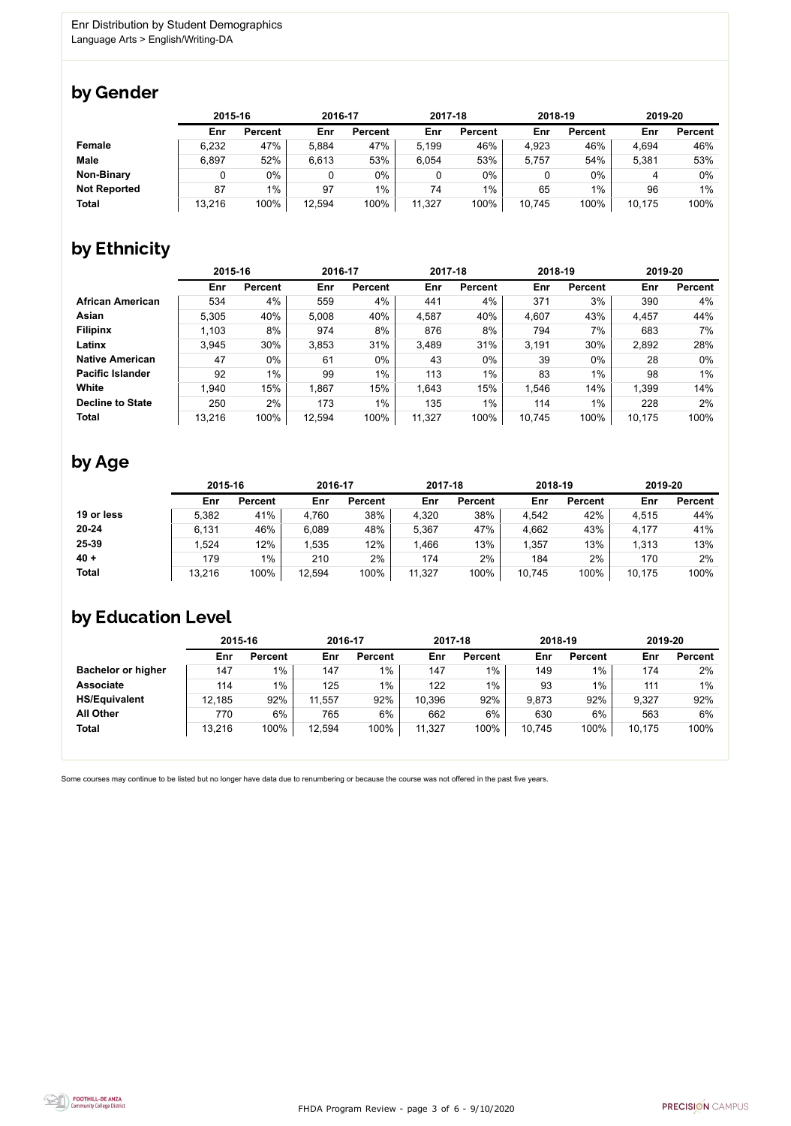FHDA Program Review - page 3 of 6 - 9/10/2020



Some courses may continue to be listed but no longer have data due to renumbering or because the course was not offered in the past five years.



### by Gender

|                     |        | 2015-16        |        | 2016-17        |        | 2017-18        |        | 2018-19        |        | 2019-20        |  |
|---------------------|--------|----------------|--------|----------------|--------|----------------|--------|----------------|--------|----------------|--|
|                     | Enr    | <b>Percent</b> | Enr    | <b>Percent</b> | Enr    | <b>Percent</b> | Enr    | <b>Percent</b> | Enr    | <b>Percent</b> |  |
| <b>Female</b>       | 6,232  | 47%            | 5,884  | 47%            | 5.199  | 46%            | 4,923  | 46%            | 4,694  | 46%            |  |
| <b>Male</b>         | 6,897  | 52%            | 6,613  | 53%            | 6,054  | 53%            | 5,757  | 54%            | 5,381  | 53%            |  |
| <b>Non-Binary</b>   |        | $0\%$          |        | 0%             | 0      | 0%             |        | $0\%$          |        | 0%             |  |
| <b>Not Reported</b> | 87     | 1%             | 97     | $1\%$          | 74     | $1\%$          | 65     | 1%             | 96     | 1%             |  |
| <b>Total</b>        | 13,216 | 100%           | 12,594 | 100%           | 11,327 | 100%           | 10,745 | 100%           | 10,175 | 100%           |  |

# by Ethnicity

|                         | 2015-16 |                | 2016-17 |                | 2017-18 |                | 2018-19 |                | 2019-20 |                |
|-------------------------|---------|----------------|---------|----------------|---------|----------------|---------|----------------|---------|----------------|
|                         | Enr     | <b>Percent</b> | Enr     | <b>Percent</b> | Enr     | <b>Percent</b> | Enr     | <b>Percent</b> | Enr     | <b>Percent</b> |
| <b>African American</b> | 534     | 4%             | 559     | 4%             | 441     | 4%             | 371     | 3%             | 390     | 4%             |
| Asian                   | 5,305   | 40%            | 5,008   | 40%            | 4,587   | 40%            | 4,607   | 43%            | 4,457   | 44%            |
| <b>Filipinx</b>         | 1,103   | 8%             | 974     | 8%             | 876     | 8%             | 794     | 7%             | 683     | 7%             |
| Latinx                  | 3,945   | 30%            | 3,853   | 31%            | 3,489   | 31%            | 3.191   | 30%            | 2,892   | 28%            |
| <b>Native American</b>  | 47      | $0\%$          | 61      | 0%             | 43      | $0\%$          | 39      | $0\%$          | 28      | $0\%$          |
| <b>Pacific Islander</b> | 92      | $1\%$          | 99      | $1\%$          | 113     | $1\%$          | 83      | $1\%$          | 98      | $1\%$          |
| White                   | 1,940   | 15%            | 1,867   | 15%            | 1,643   | 15%            | 1,546   | 14%            | 1,399   | 14%            |
| <b>Decline to State</b> | 250     | 2%             | 173     | $1\%$          | 135     | $1\%$          | 114     | $1\%$          | 228     | 2%             |
| <b>Total</b>            | 13,216  | 100%           | 12,594  | 100%           | 11,327  | 100%           | 10,745  | 100%           | 10,175  | 100%           |

### by Age

|              | 2015-16 |                | 2016-17 |                | 2017-18 |                | 2018-19 |                | 2019-20 |                |
|--------------|---------|----------------|---------|----------------|---------|----------------|---------|----------------|---------|----------------|
|              | Enr     | <b>Percent</b> | Enr     | <b>Percent</b> | Enr     | <b>Percent</b> | Enr     | <b>Percent</b> | Enr     | <b>Percent</b> |
| 19 or less   | 5,382   | 41%            | 4,760   | 38%            | 4,320   | 38%            | 4,542   | 42%            | 4,515   | 44%            |
| $20 - 24$    | 6,131   | 46%            | 6,089   | 48%            | 5,367   | 47%            | 4,662   | 43%            | 4,177   | 41%            |
| 25-39        | .524    | 12%            | ,535    | 12%            | 1,466   | 13%            | 1,357   | 13%            | 1,313   | 13%            |
| $40 +$       | 179     | $1\%$          | 210     | 2%             | 174     | 2%             | 184     | 2%             | 170     | 2%             |
| <b>Total</b> | 13,216  | 100%           | 12,594  | 100%           | 11,327  | 100%           | 10,745  | 100%           | 10,175  | 100%           |

# by Education Level

|                           | 2015-16 |                | 2016-17 |                | 2017-18 |                | 2018-19 |                | 2019-20 |                |
|---------------------------|---------|----------------|---------|----------------|---------|----------------|---------|----------------|---------|----------------|
|                           | Enr     | <b>Percent</b> | Enr     | <b>Percent</b> | Enr     | <b>Percent</b> | Enr     | <b>Percent</b> | Enr     | <b>Percent</b> |
| <b>Bachelor or higher</b> | 147     | $1\%$          | 147     | $1\%$          | 147     | 1%             | 149     | 1%             | 174     | 2%             |
| <b>Associate</b>          | 114     | $1\%$          | 125     | 1%             | 122     | $1\%$          | 93      | 1%             | 111     | $1\%$          |
| <b>HS/Equivalent</b>      | 12,185  | 92%            | 11,557  | 92%            | 10,396  | 92%            | 9,873   | 92%            | 9,327   | 92%            |
| <b>All Other</b>          | 770     | 6%             | 765     | 6%             | 662     | $6\%$          | 630     | 6%             | 563     | 6%             |
| <b>Total</b>              | 13,216  | 100%           | 12,594  | 100%           | 11,327  | 100%           | 10,745  | 100%           | 10,175  | 100%           |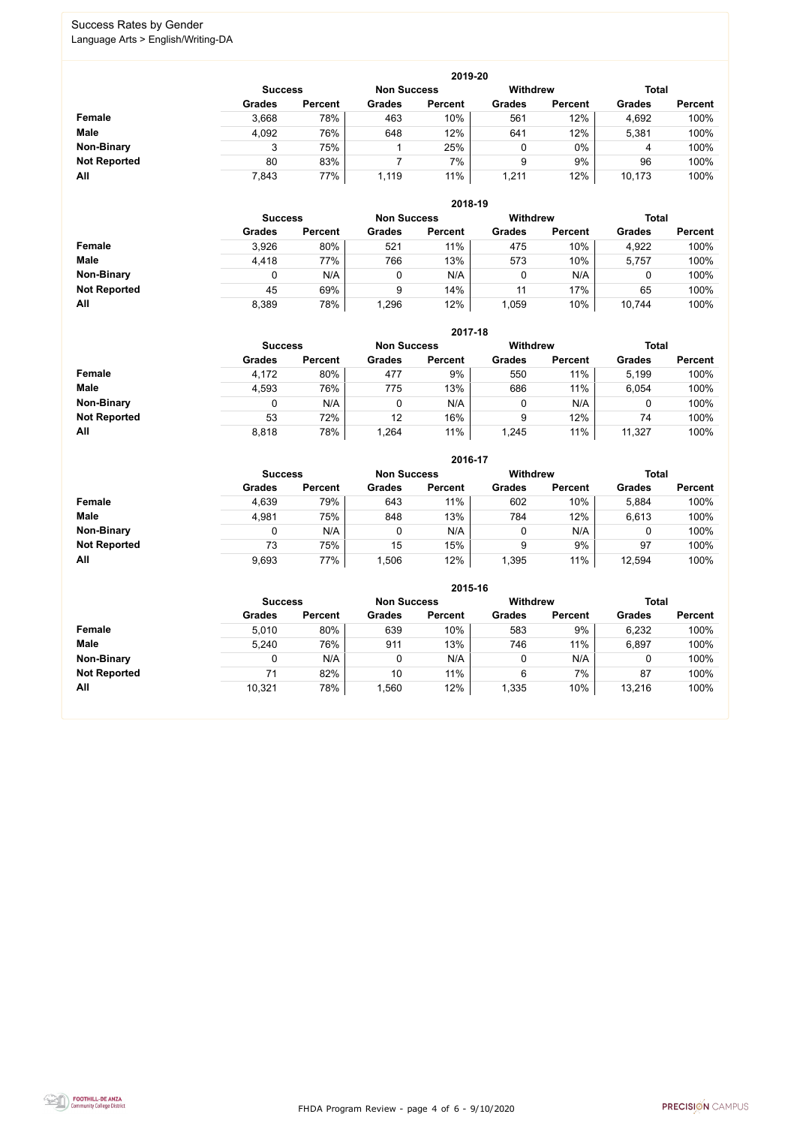FHDA Program Review - page 4 of 6 - 9/10/2020



### Success Rates by Gender Language Arts > English/Writing-DA

|                     |                | 2019-20        |                    |                |                 |                |               |                |  |  |  |  |  |  |
|---------------------|----------------|----------------|--------------------|----------------|-----------------|----------------|---------------|----------------|--|--|--|--|--|--|
|                     | <b>Success</b> |                | <b>Non Success</b> |                | <b>Withdrew</b> |                | <b>Total</b>  |                |  |  |  |  |  |  |
|                     | <b>Grades</b>  | <b>Percent</b> | <b>Grades</b>      | <b>Percent</b> | <b>Grades</b>   | <b>Percent</b> | <b>Grades</b> | <b>Percent</b> |  |  |  |  |  |  |
| Female              | 3,668          | 78%            | 463                | 10%            | 561             | 12%            | 4,692         | 100%           |  |  |  |  |  |  |
| <b>Male</b>         | 4,092          | 76%            | 648                | 12%            | 641             | 12%            | 5,381         | 100%           |  |  |  |  |  |  |
| <b>Non-Binary</b>   | 3              | 75%            |                    | 25%            | 0               | $0\%$          | 4             | 100%           |  |  |  |  |  |  |
| <b>Not Reported</b> | 80             | 83%            |                    | 7%             | 9               | 9%             | 96            | 100%           |  |  |  |  |  |  |
| All                 | 7,843          | 77%            | 1,119              | 11%            | 1,211           | 12%            | 10,173        | 100%           |  |  |  |  |  |  |

|                     |               | 2018-19                              |               |                |               |                 |               |                |  |  |  |  |  |
|---------------------|---------------|--------------------------------------|---------------|----------------|---------------|-----------------|---------------|----------------|--|--|--|--|--|
|                     |               | <b>Non Success</b><br><b>Success</b> |               |                |               | <b>Withdrew</b> | <b>Total</b>  |                |  |  |  |  |  |
|                     | <b>Grades</b> | <b>Percent</b>                       | <b>Grades</b> | <b>Percent</b> | <b>Grades</b> | <b>Percent</b>  | <b>Grades</b> | <b>Percent</b> |  |  |  |  |  |
| Female              | 3,926         | 80%                                  | 521           | 11%            | 475           | 10%             | 4,922         | 100%           |  |  |  |  |  |
| <b>Male</b>         | 4,418         | 77%                                  | 766           | 13%            | 573           | 10%             | 5,757         | 100%           |  |  |  |  |  |
| <b>Non-Binary</b>   |               | N/A                                  | 0             | N/A            | 0             | N/A             |               | 100%           |  |  |  |  |  |
| <b>Not Reported</b> | 45            | 69%                                  | 9             | 14%            | 11            | 17%             | 65            | 100%           |  |  |  |  |  |
| All                 | 8,389         | 78%                                  | 1,296         | 12%            | .059          | 10%             | 10,744        | 100%           |  |  |  |  |  |

|                     |               | 2017-18                                                                 |               |                |               |                |               |                |  |  |  |  |  |
|---------------------|---------------|-------------------------------------------------------------------------|---------------|----------------|---------------|----------------|---------------|----------------|--|--|--|--|--|
|                     |               | <b>Withdrew</b><br><b>Total</b><br><b>Non Success</b><br><b>Success</b> |               |                |               |                |               |                |  |  |  |  |  |
|                     | <b>Grades</b> | <b>Percent</b>                                                          | <b>Grades</b> | <b>Percent</b> | <b>Grades</b> | <b>Percent</b> | <b>Grades</b> | <b>Percent</b> |  |  |  |  |  |
| <b>Female</b>       | 4,172         | 80%                                                                     | 477           | 9%             | 550           | 11%            | 5,199         | 100%           |  |  |  |  |  |
| <b>Male</b>         | 4,593         | 76%                                                                     | 775           | 13%            | 686           | 11%            | 6,054         | 100%           |  |  |  |  |  |
| <b>Non-Binary</b>   | 0             | N/A                                                                     |               | N/A            | 0             | N/A            | 0             | 100%           |  |  |  |  |  |
| <b>Not Reported</b> | 53            | 72%                                                                     | 12            | 16%            | 9             | 12%            | 74            | 100%           |  |  |  |  |  |
| All                 | 8,818         | 78%                                                                     | 1,264         | 11%            | 1,245         | 11%            | 11,327        | 100%           |  |  |  |  |  |

|                     |               |                |               | 2016-17            |                 |                |               |                |  |
|---------------------|---------------|----------------|---------------|--------------------|-----------------|----------------|---------------|----------------|--|
|                     |               | <b>Success</b> |               | <b>Non Success</b> | <b>Withdrew</b> |                |               | <b>Total</b>   |  |
|                     | <b>Grades</b> | <b>Percent</b> | <b>Grades</b> | <b>Percent</b>     | <b>Grades</b>   | <b>Percent</b> | <b>Grades</b> | <b>Percent</b> |  |
| Female              | 4,639         | 79%            | 643           | 11%                | 602             | 10%            | 5,884         | 100%           |  |
| <b>Male</b>         | 4,981         | 75%            | 848           | 13%                | 784             | 12%            | 6,613         | 100%           |  |
| <b>Non-Binary</b>   | 0             | N/A            |               | N/A                | 0               | N/A            | 0             | 100%           |  |
| <b>Not Reported</b> | 73            | 75%            | 15            | 15%                | 9               | 9%             | 97            | 100%           |  |
| All                 | 9,693         | 77%            | ,506          | 12%                | 1,395           | 11%            | 12,594        | 100%           |  |

|                     |                |                |                    | 2015-16        |                 |                |               |                |
|---------------------|----------------|----------------|--------------------|----------------|-----------------|----------------|---------------|----------------|
|                     | <b>Success</b> |                | <b>Non Success</b> |                | <b>Withdrew</b> |                | <b>Total</b>  |                |
|                     | <b>Grades</b>  | <b>Percent</b> | <b>Grades</b>      | <b>Percent</b> | <b>Grades</b>   | <b>Percent</b> | <b>Grades</b> | <b>Percent</b> |
| <b>Female</b>       | 5,010          | 80%            | 639                | 10%            | 583             | 9%             | 6,232         | 100%           |
| <b>Male</b>         | 5,240          | 76%            | 911                | 13%            | 746             | 11%            | 6,897         | 100%           |
| <b>Non-Binary</b>   |                | N/A            | 0                  | N/A            |                 | N/A            |               | 100%           |
| <b>Not Reported</b> | 71             | 82%            | 10                 | 11%            | 6               | 7%             | 87            | 100%           |
| All                 | 10,321         | 78%            | 1,560              | 12%            | 1,335           | 10%            | 13,216        | 100%           |

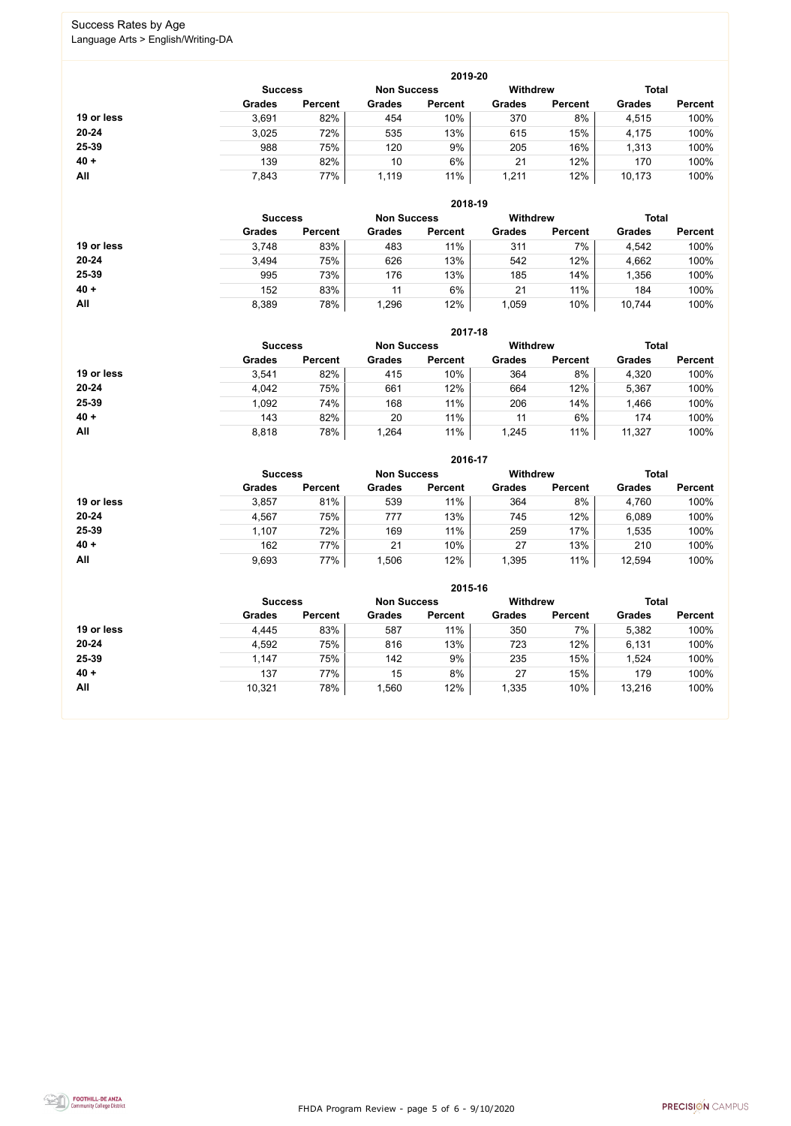FHDA Program Review - page 5 of 6 - 9/10/2020



### Success Rates by Age Language Arts > English/Writing-DA

|            |                |                    |               | 2019-20         |               |                |               |                |
|------------|----------------|--------------------|---------------|-----------------|---------------|----------------|---------------|----------------|
|            | <b>Success</b> | <b>Non Success</b> |               | <b>Withdrew</b> |               | <b>Total</b>   |               |                |
|            | <b>Grades</b>  | <b>Percent</b>     | <b>Grades</b> | <b>Percent</b>  | <b>Grades</b> | <b>Percent</b> | <b>Grades</b> | <b>Percent</b> |
| 19 or less | 3,691          | 82%                | 454           | $10\%$          | 370           | 8%             | 4,515         | 100%           |
| $20 - 24$  | 3,025          | 72%                | 535           | 13%             | 615           | 15%            | 4,175         | 100%           |
| 25-39      | 988            | 75%                | 120           | 9%              | 205           | 16%            | 1,313         | 100%           |
| $40 +$     | 139            | 82%                | 10            | 6%              | 21            | 12%            | 170           | 100%           |
| All        | 7,843          | 77%                | 1,119         | 11%             | 1,211         | 12%            | 10,173        | 100%           |

|            |                |                |                    | 2018-19        |                 |                |               |                |  |
|------------|----------------|----------------|--------------------|----------------|-----------------|----------------|---------------|----------------|--|
|            | <b>Success</b> |                | <b>Non Success</b> |                | <b>Withdrew</b> |                |               | <b>Total</b>   |  |
|            | <b>Grades</b>  | <b>Percent</b> | <b>Grades</b>      | <b>Percent</b> | <b>Grades</b>   | <b>Percent</b> | <b>Grades</b> | <b>Percent</b> |  |
| 19 or less | 3,748          | 83%            | 483                | 11%            | 311             | 7%             | 4,542         | 100%           |  |
| $20 - 24$  | 3,494          | 75%            | 626                | 13%            | 542             | 12%            | 4,662         | 100%           |  |
| 25-39      | 995            | 73%            | 176                | 13%            | 185             | 14%            | 1,356         | 100%           |  |
| $40 +$     | 152            | 83%            | 11                 | 6%             | 21              | 11%            | 184           | 100%           |  |
| All        | 8,389          | 78%            | 1,296              | 12%            | 1,059           | 10%            | 10,744        | 100%           |  |

|            |                |                 |               | 2017-18        |               |                |               |                |
|------------|----------------|-----------------|---------------|----------------|---------------|----------------|---------------|----------------|
|            | <b>Success</b> | <b>Withdrew</b> |               | <b>Total</b>   |               |                |               |                |
|            | <b>Grades</b>  | <b>Percent</b>  | <b>Grades</b> | <b>Percent</b> | <b>Grades</b> | <b>Percent</b> | <b>Grades</b> | <b>Percent</b> |
| 19 or less | 3,541          | 82%             | 415           | 10%            | 364           | 8%             | 4,320         | 100%           |
| $20 - 24$  | 4,042          | 75%             | 661           | 12%            | 664           | 12%            | 5,367         | 100%           |
| 25-39      | 1,092          | 74%             | 168           | 11%            | 206           | 14%            | 1,466         | 100%           |
| $40 +$     | 143            | 82%             | 20            | 11%            | 11            | 6%             | 174           | 100%           |
| All        | 8,818          | 78%             | 1,264         | 11%            | 1,245         | 11%            | 11,327        | 100%           |

|            | 2016-17        |                    |               |                 |               |                |               |                |  |
|------------|----------------|--------------------|---------------|-----------------|---------------|----------------|---------------|----------------|--|
|            | <b>Success</b> | <b>Non Success</b> |               | <b>Withdrew</b> |               | <b>Total</b>   |               |                |  |
|            | <b>Grades</b>  | <b>Percent</b>     | <b>Grades</b> | <b>Percent</b>  | <b>Grades</b> | <b>Percent</b> | <b>Grades</b> | <b>Percent</b> |  |
| 19 or less | 3,857          | 81%                | 539           | 11%             | 364           | 8%             | 4,760         | 100%           |  |
| $20 - 24$  | 4,567          | 75%                | 777           | 13%             | 745           | 12%            | 6,089         | 100%           |  |
| 25-39      | 1,107          | 72%                | 169           | 11%             | 259           | 17%            | ,535          | 100%           |  |
| $40 +$     | 162            | 77%                | 21            | 10%             | 27            | 13%            | 210           | 100%           |  |
| All        | 9,693          | 77%                | ,506          | 12%             | 1,395         | 11%            | 12,594        | 100%           |  |

|            |                |                |                 | 2015-16        |               |                |               |                |
|------------|----------------|----------------|-----------------|----------------|---------------|----------------|---------------|----------------|
|            | <b>Success</b> |                | <b>Withdrew</b> | <b>Total</b>   |               |                |               |                |
|            | <b>Grades</b>  | <b>Percent</b> | <b>Grades</b>   | <b>Percent</b> | <b>Grades</b> | <b>Percent</b> | <b>Grades</b> | <b>Percent</b> |
| 19 or less | 4,445          | 83%            | 587             | 11%            | 350           | 7%             | 5,382         | 100%           |
| $20 - 24$  | 4,592          | 75%            | 816             | 13%            | 723           | 12%            | 6,131         | 100%           |
| 25-39      | 1,147          | 75%            | 142             | 9%             | 235           | 15%            | 1,524         | 100%           |
| $40 +$     | 137            | 77%            | 15              | 8%             | 27            | 15%            | 179           | 100%           |
| All        | 10,321         | 78%            | 1,560           | 12%            | 1,335         | 10%            | 13,216        | 100%           |